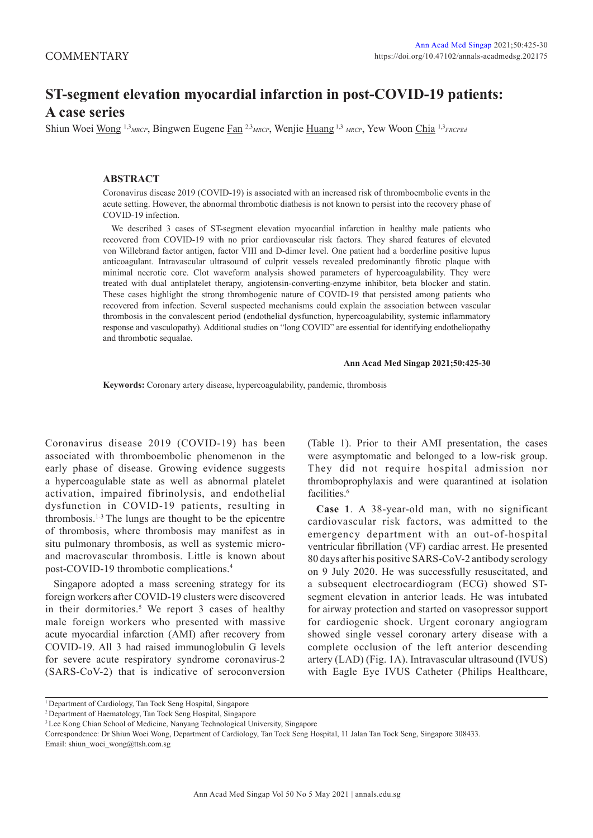# **ST-segment elevation myocardial infarction in post-COVID-19 patients: A case series**

Shiun Woei Wong 1,3*MRCP*, Bingwen Eugene Fan 2,3*MRCP*, Wenjie Huang 1,3 *MRCP*, Yew Woon Chia 1,3*FRCPEd*

## **ABSTRACT**

Coronavirus disease 2019 (COVID-19) is associated with an increased risk of thromboembolic events in the acute setting. However, the abnormal thrombotic diathesis is not known to persist into the recovery phase of COVID-19 infection.

We described 3 cases of ST-segment elevation myocardial infarction in healthy male patients who recovered from COVID-19 with no prior cardiovascular risk factors. They shared features of elevated von Willebrand factor antigen, factor VIII and D-dimer level. One patient had a borderline positive lupus anticoagulant. Intravascular ultrasound of culprit vessels revealed predominantly fibrotic plaque with minimal necrotic core. Clot waveform analysis showed parameters of hypercoagulability. They were treated with dual antiplatelet therapy, angiotensin-converting-enzyme inhibitor, beta blocker and statin. These cases highlight the strong thrombogenic nature of COVID-19 that persisted among patients who recovered from infection. Several suspected mechanisms could explain the association between vascular thrombosis in the convalescent period (endothelial dysfunction, hypercoagulability, systemic inflammatory response and vasculopathy). Additional studies on "long COVID" are essential for identifying endotheliopathy and thrombotic sequalae.

#### **Ann Acad Med Singap 2021;50:425-30**

**Keywords:** Coronary artery disease, hypercoagulability, pandemic, thrombosis

Coronavirus disease 2019 (COVID-19) has been associated with thromboembolic phenomenon in the early phase of disease. Growing evidence suggests a hypercoagulable state as well as abnormal platelet activation, impaired fibrinolysis, and endothelial dysfunction in COVID-19 patients, resulting in thrombosis.1-3 The lungs are thought to be the epicentre of thrombosis, where thrombosis may manifest as in situ pulmonary thrombosis, as well as systemic microand macrovascular thrombosis. Little is known about post-COVID-19 thrombotic complications.4

Singapore adopted a mass screening strategy for its foreign workers after COVID-19 clusters were discovered in their dormitories.<sup>5</sup> We report 3 cases of healthy male foreign workers who presented with massive acute myocardial infarction (AMI) after recovery from COVID-19. All 3 had raised immunoglobulin G levels for severe acute respiratory syndrome coronavirus-2 (SARS-CoV-2) that is indicative of seroconversion (Table 1). Prior to their AMI presentation, the cases were asymptomatic and belonged to a low-risk group. They did not require hospital admission nor thromboprophylaxis and were quarantined at isolation facilities.<sup>6</sup>

**Case 1**. A 38-year-old man, with no significant cardiovascular risk factors, was admitted to the emergency department with an out-of-hospital ventricular fibrillation (VF) cardiac arrest. He presented 80 days after his positive SARS-CoV-2 antibody serology on 9 July 2020. He was successfully resuscitated, and a subsequent electrocardiogram (ECG) showed STsegment elevation in anterior leads. He was intubated for airway protection and started on vasopressor support for cardiogenic shock. Urgent coronary angiogram showed single vessel coronary artery disease with a complete occlusion of the left anterior descending artery (LAD) (Fig. 1A). Intravascular ultrasound (IVUS) with Eagle Eye IVUS Catheter (Philips Healthcare,

<sup>1</sup> Department of Cardiology, Tan Tock Seng Hospital, Singapore

<sup>2</sup> Department of Haematology, Tan Tock Seng Hospital, Singapore

<sup>&</sup>lt;sup>3</sup> Lee Kong Chian School of Medicine, Nanyang Technological University, Singapore

Correspondence: Dr Shiun Woei Wong, Department of Cardiology, Tan Tock Seng Hospital, 11 Jalan Tan Tock Seng, Singapore 308433. Email: shiun\_woei\_wong@ttsh.com.sg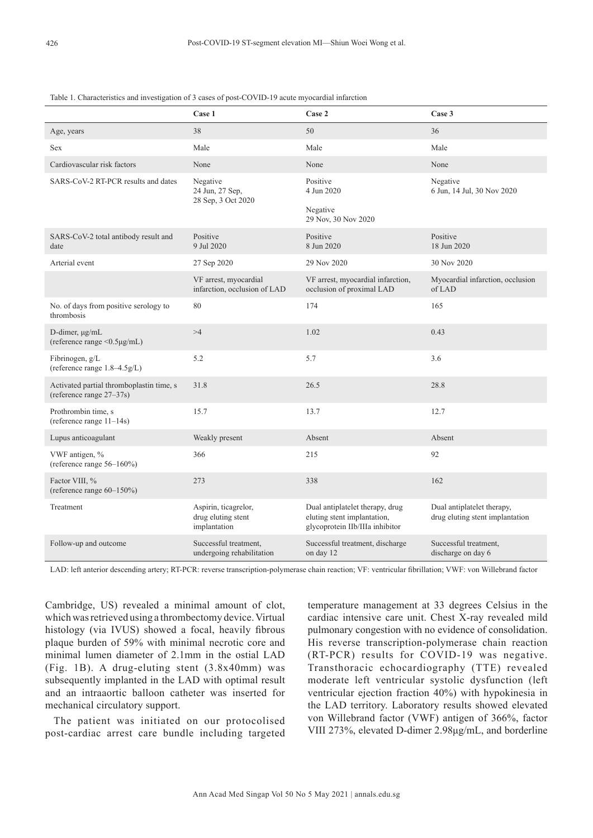### Table 1. Characteristics and investigation of 3 cases of post-COVID-19 acute myocardial infarction

|                                                                      | Case 1                                                     | Case 2                                                                                            | Case 3                                                        |
|----------------------------------------------------------------------|------------------------------------------------------------|---------------------------------------------------------------------------------------------------|---------------------------------------------------------------|
| Age, years                                                           | 38                                                         | 50                                                                                                | 36                                                            |
| <b>Sex</b>                                                           | Male                                                       | Male                                                                                              | Male                                                          |
| Cardiovascular risk factors                                          | None                                                       | None                                                                                              | None                                                          |
| SARS-CoV-2 RT-PCR results and dates                                  | Negative<br>24 Jun, 27 Sep,<br>28 Sep, 3 Oct 2020          | Positive<br>4 Jun 2020<br>Negative<br>29 Nov, 30 Nov 2020                                         | Negative<br>6 Jun, 14 Jul, 30 Nov 2020                        |
| SARS-CoV-2 total antibody result and<br>date                         | Positive<br>9 Jul 2020                                     | Positive<br>8 Jun 2020                                                                            | Positive<br>18 Jun 2020                                       |
| Arterial event                                                       | 27 Sep 2020                                                | 29 Nov 2020                                                                                       | 30 Nov 2020                                                   |
|                                                                      | VF arrest, myocardial<br>infarction, occlusion of LAD      | VF arrest, myocardial infarction,<br>occlusion of proximal LAD                                    | Myocardial infarction, occlusion<br>of LAD                    |
| No. of days from positive serology to<br>thrombosis                  | 80                                                         | 174                                                                                               | 165                                                           |
| D-dimer, µg/mL<br>(reference range <0.5µg/mL)                        | >4                                                         | 1.02                                                                                              | 0.43                                                          |
| Fibrinogen, g/L<br>(reference range 1.8-4.5g/L)                      | 5.2                                                        | 5.7                                                                                               | 3.6                                                           |
| Activated partial thromboplastin time, s<br>(reference range 27–37s) | 31.8                                                       | 26.5                                                                                              | 28.8                                                          |
| Prothrombin time, s<br>(reference range 11-14s)                      | 15.7                                                       | 13.7                                                                                              | 12.7                                                          |
| Lupus anticoagulant                                                  | Weakly present                                             | Absent                                                                                            | Absent                                                        |
| VWF antigen, %<br>(reference range 56-160%)                          | 366                                                        | 215                                                                                               | 92                                                            |
| Factor VIII, %<br>(reference range 60-150%)                          | 273                                                        | 338                                                                                               | 162                                                           |
| Treatment                                                            | Aspirin, ticagrelor,<br>drug eluting stent<br>implantation | Dual antiplatelet therapy, drug<br>eluting stent implantation,<br>glycoprotein IIb/IIIa inhibitor | Dual antiplatelet therapy,<br>drug eluting stent implantation |
| Follow-up and outcome                                                | Successful treatment,<br>undergoing rehabilitation         | Successful treatment, discharge<br>on day 12                                                      | Successful treatment,<br>discharge on day 6                   |

LAD: left anterior descending artery; RT-PCR: reverse transcription-polymerase chain reaction; VF: ventricular fibrillation; VWF: von Willebrand factor

Cambridge, US) revealed a minimal amount of clot, which was retrieved using a thrombectomy device. Virtual histology (via IVUS) showed a focal, heavily fibrous plaque burden of 59% with minimal necrotic core and minimal lumen diameter of 2.1mm in the ostial LAD (Fig. 1B). A drug-eluting stent (3.8x40mm) was subsequently implanted in the LAD with optimal result and an intraaortic balloon catheter was inserted for mechanical circulatory support.

The patient was initiated on our protocolised post-cardiac arrest care bundle including targeted temperature management at 33 degrees Celsius in the cardiac intensive care unit. Chest X-ray revealed mild pulmonary congestion with no evidence of consolidation. His reverse transcription-polymerase chain reaction (RT-PCR) results for COVID-19 was negative. Transthoracic echocardiography (TTE) revealed moderate left ventricular systolic dysfunction (left ventricular ejection fraction 40%) with hypokinesia in the LAD territory. Laboratory results showed elevated von Willebrand factor (VWF) antigen of 366%, factor VIII 273%, elevated D-dimer 2.98μg/mL, and borderline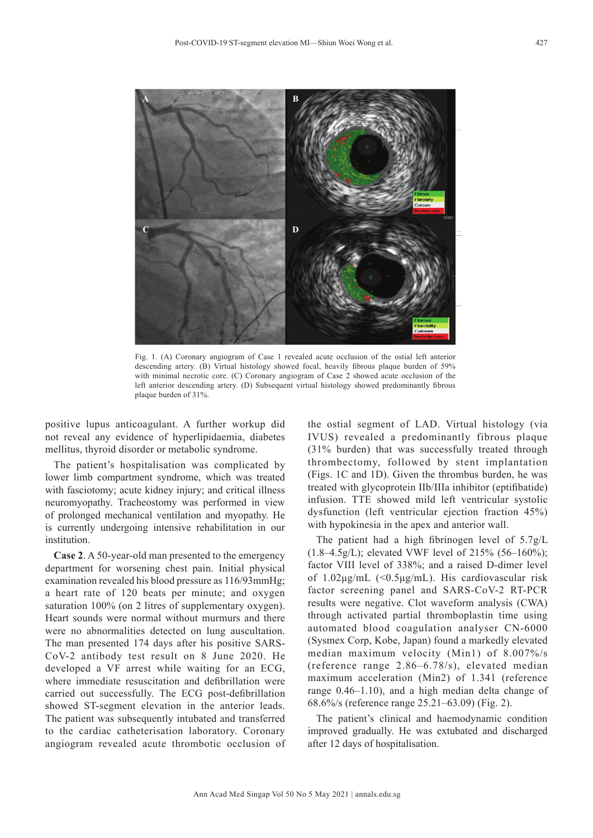

Fig. 1. (A) Coronary angiogram of Case 1 revealed acute occlusion of the ostial left anterior descending artery. (B) Virtual histology showed focal, heavily fibrous plaque burden of 59% with minimal necrotic core. (C) Coronary angiogram of Case 2 showed acute occlusion of the left anterior descending artery. (D) Subsequent virtual histology showed predominantly fibrous plaque burden of 31%.

positive lupus anticoagulant. A further workup did not reveal any evidence of hyperlipidaemia, diabetes mellitus, thyroid disorder or metabolic syndrome.

The patient's hospitalisation was complicated by lower limb compartment syndrome, which was treated with fasciotomy; acute kidney injury; and critical illness neuromyopathy. Tracheostomy was performed in view of prolonged mechanical ventilation and myopathy. He is currently undergoing intensive rehabilitation in our **institution** 

**Case 2**. A 50-year-old man presented to the emergency department for worsening chest pain. Initial physical examination revealed his blood pressure as 116/93mmHg; a heart rate of 120 beats per minute; and oxygen saturation 100% (on 2 litres of supplementary oxygen). Heart sounds were normal without murmurs and there were no abnormalities detected on lung auscultation. The man presented 174 days after his positive SARS-CoV-2 antibody test result on 8 June 2020. He developed a VF arrest while waiting for an ECG, where immediate resuscitation and defibrillation were carried out successfully. The ECG post-defibrillation showed ST-segment elevation in the anterior leads. The patient was subsequently intubated and transferred to the cardiac catheterisation laboratory. Coronary angiogram revealed acute thrombotic occlusion of

the ostial segment of LAD. Virtual histology (via IVUS) revealed a predominantly fibrous plaque (31% burden) that was successfully treated through thrombectomy, followed by stent implantation (Figs. 1C and 1D). Given the thrombus burden, he was treated with glycoprotein IIb/IIIa inhibitor (eptifibatide) infusion. TTE showed mild left ventricular systolic dysfunction (left ventricular ejection fraction 45%) with hypokinesia in the apex and anterior wall.

The patient had a high fibrinogen level of 5.7g/L  $(1.8-4.5g/L)$ ; elevated VWF level of 215% (56–160%); factor VIII level of 338%; and a raised D-dimer level of 1.02μg/mL (<0.5μg/mL). His cardiovascular risk factor screening panel and SARS-CoV-2 RT-PCR results were negative. Clot waveform analysis (CWA) through activated partial thromboplastin time using automated blood coagulation analyser CN-6000 (Sysmex Corp, Kobe, Japan) found a markedly elevated median maximum velocity (Min1) of 8.007%/s (reference range 2.86–6.78/s), elevated median maximum acceleration (Min2) of 1.341 (reference range 0.46–1.10), and a high median delta change of 68.6%/s (reference range 25.21–63.09) (Fig. 2).

The patient's clinical and haemodynamic condition improved gradually. He was extubated and discharged after 12 days of hospitalisation.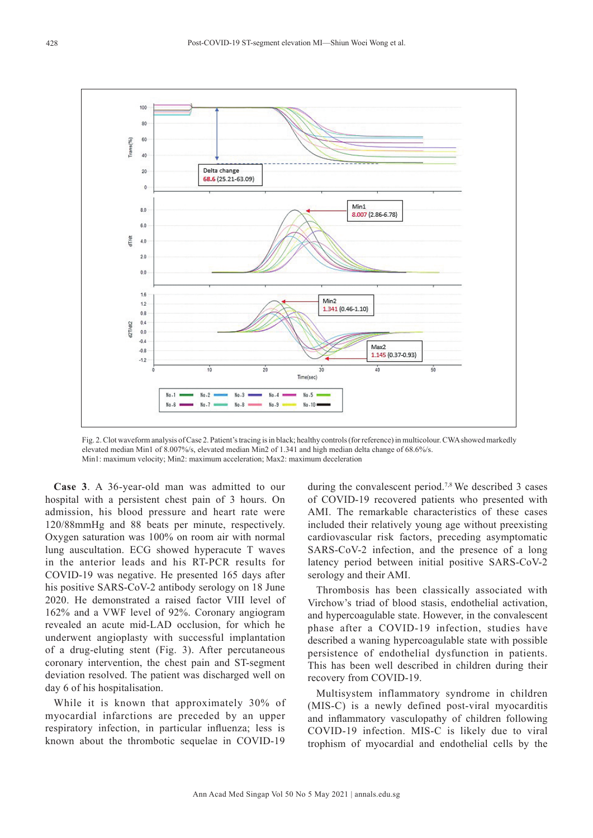

Fig. 2. Clot waveform analysis of Case 2. Patient's tracing is in black; healthy controls (for reference) in multicolour. CWA showed markedly elevated median Min1 of 8.007%/s, elevated median Min2 of 1.341 and high median delta change of 68.6%/s. Min1: maximum velocity; Min2: maximum acceleration; Max2: maximum deceleration

**Case 3**. A 36-year-old man was admitted to our hospital with a persistent chest pain of 3 hours. On admission, his blood pressure and heart rate were 120/88mmHg and 88 beats per minute, respectively. Oxygen saturation was 100% on room air with normal lung auscultation. ECG showed hyperacute T waves in the anterior leads and his RT-PCR results for COVID-19 was negative. He presented 165 days after his positive SARS-CoV-2 antibody serology on 18 June 2020. He demonstrated a raised factor VIII level of 162% and a VWF level of 92%. Coronary angiogram revealed an acute mid-LAD occlusion, for which he underwent angioplasty with successful implantation of a drug-eluting stent (Fig. 3). After percutaneous coronary intervention, the chest pain and ST-segment deviation resolved. The patient was discharged well on day 6 of his hospitalisation.

While it is known that approximately 30% of myocardial infarctions are preceded by an upper respiratory infection, in particular influenza; less is known about the thrombotic sequelae in COVID-19

during the convalescent period.<sup>7,8</sup> We described 3 cases of COVID-19 recovered patients who presented with AMI. The remarkable characteristics of these cases included their relatively young age without preexisting cardiovascular risk factors, preceding asymptomatic SARS-CoV-2 infection, and the presence of a long latency period between initial positive SARS-CoV-2 serology and their AMI.

Thrombosis has been classically associated with Virchow's triad of blood stasis, endothelial activation, and hypercoagulable state. However, in the convalescent phase after a COVID-19 infection, studies have described a waning hypercoagulable state with possible persistence of endothelial dysfunction in patients. This has been well described in children during their recovery from COVID-19.

Multisystem inflammatory syndrome in children (MIS-C) is a newly defined post-viral myocarditis and inflammatory vasculopathy of children following COVID-19 infection. MIS-C is likely due to viral trophism of myocardial and endothelial cells by the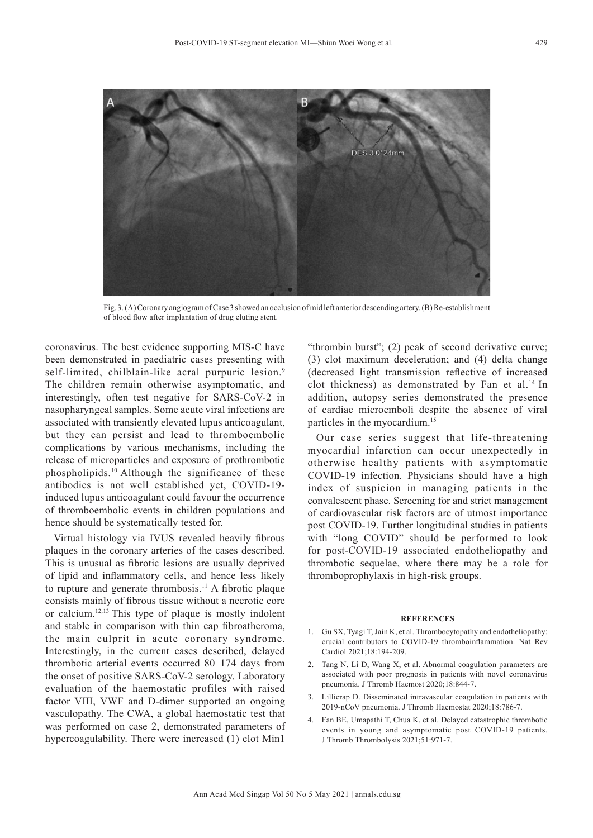

Fig. 3. (A) Coronary angiogram of Case 3 showed an occlusion of mid left anterior descending artery. (B) Re-establishment of blood flow after implantation of drug eluting stent.

coronavirus. The best evidence supporting MIS-C have been demonstrated in paediatric cases presenting with self-limited, chilblain-like acral purpuric lesion.<sup>9</sup> The children remain otherwise asymptomatic, and interestingly, often test negative for SARS-CoV-2 in nasopharyngeal samples. Some acute viral infections are associated with transiently elevated lupus anticoagulant, but they can persist and lead to thromboembolic complications by various mechanisms, including the release of microparticles and exposure of prothrombotic phospholipids.10 Although the significance of these antibodies is not well established yet, COVID-19 induced lupus anticoagulant could favour the occurrence of thromboembolic events in children populations and hence should be systematically tested for.

Virtual histology via IVUS revealed heavily fibrous plaques in the coronary arteries of the cases described. This is unusual as fibrotic lesions are usually deprived of lipid and inflammatory cells, and hence less likely to rupture and generate thrombosis.11 A fibrotic plaque consists mainly of fibrous tissue without a necrotic core or calcium.12,13 This type of plaque is mostly indolent and stable in comparison with thin cap fibroatheroma, the main culprit in acute coronary syndrome. Interestingly, in the current cases described, delayed thrombotic arterial events occurred 80–174 days from the onset of positive SARS-CoV-2 serology. Laboratory evaluation of the haemostatic profiles with raised factor VIII, VWF and D-dimer supported an ongoing vasculopathy. The CWA, a global haemostatic test that was performed on case 2, demonstrated parameters of hypercoagulability. There were increased (1) clot Min1

"thrombin burst"; (2) peak of second derivative curve; (3) clot maximum deceleration; and (4) delta change (decreased light transmission reflective of increased clot thickness) as demonstrated by Fan et al.<sup>14</sup> In addition, autopsy series demonstrated the presence of cardiac microemboli despite the absence of viral particles in the myocardium.15

Our case series suggest that life-threatening myocardial infarction can occur unexpectedly in otherwise healthy patients with asymptomatic COVID-19 infection. Physicians should have a high index of suspicion in managing patients in the convalescent phase. Screening for and strict management of cardiovascular risk factors are of utmost importance post COVID-19. Further longitudinal studies in patients with "long COVID" should be performed to look for post-COVID-19 associated endotheliopathy and thrombotic sequelae, where there may be a role for thromboprophylaxis in high-risk groups.

#### **REFERENCES**

- 1. Gu SX, Tyagi T, Jain K, et al. Thrombocytopathy and endotheliopathy: crucial contributors to COVID-19 thromboinflammation. Nat Rev Cardiol 2021;18:194-209.
- 2. Tang N, Li D, Wang X, et al. Abnormal coagulation parameters are associated with poor prognosis in patients with novel coronavirus pneumonia. J Thromb Haemost 2020;18:844-7.
- 3. Lillicrap D. Disseminated intravascular coagulation in patients with 2019-nCoV pneumonia. J Thromb Haemostat 2020;18:786-7.
- 4. Fan BE, Umapathi T, Chua K, et al. Delayed catastrophic thrombotic events in young and asymptomatic post COVID-19 patients. J Thromb Thrombolysis 2021;51:971-7.